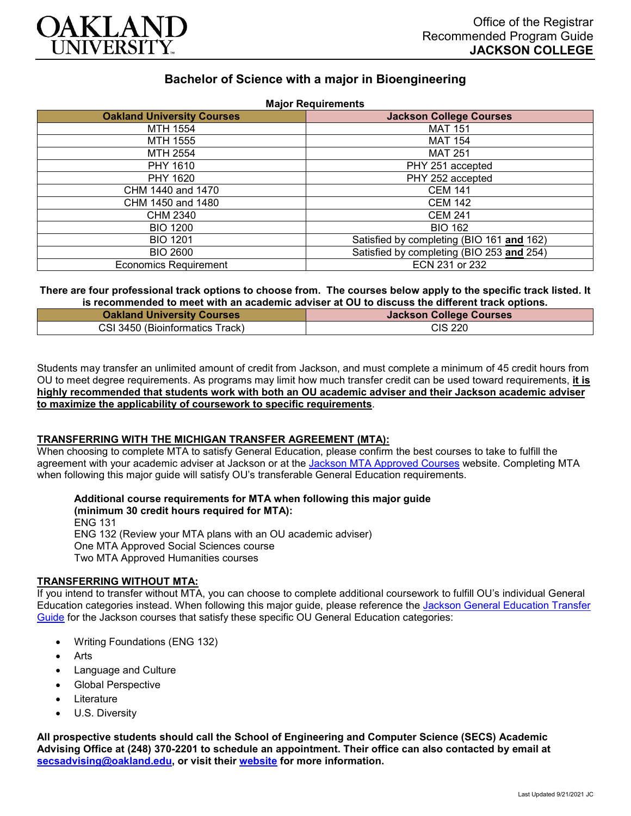

# **Bachelor of Science with a major in Bioengineering**

| <b>Oakland University Courses</b> | <b>Major Requirements</b><br><b>Jackson College Courses</b> |
|-----------------------------------|-------------------------------------------------------------|
|                                   |                                                             |
| MTH 1554                          | <b>MAT 151</b>                                              |
| MTH 1555                          | <b>MAT 154</b>                                              |
| MTH 2554                          | <b>MAT 251</b>                                              |
| PHY 1610                          | PHY 251 accepted                                            |
| <b>PHY 1620</b>                   | PHY 252 accepted                                            |
| CHM 1440 and 1470                 | <b>CEM 141</b>                                              |
| CHM 1450 and 1480                 | <b>CEM 142</b>                                              |
| CHM 2340                          | <b>CEM 241</b>                                              |
| <b>BIO 1200</b>                   | <b>BIO 162</b>                                              |
| <b>BIO 1201</b>                   | Satisfied by completing (BIO 161 and 162)                   |
| <b>BIO 2600</b>                   | Satisfied by completing (BIO 253 and 254)                   |
| <b>Economics Requirement</b>      | ECN 231 or 232                                              |

#### **There are four professional track options to choose from. The courses below apply to the specific track listed. It is recommended to meet with an academic adviser at OU to discuss the different track options.**

| <b>Oakland University Courses</b> | <b>Jackson College Courses</b> |
|-----------------------------------|--------------------------------|
| CSI 3450 (Bioinformatics Track)   | CIS 220                        |

Students may transfer an unlimited amount of credit from Jackson, and must complete a minimum of 45 credit hours from OU to meet degree requirements. As programs may limit how much transfer credit can be used toward requirements, **it is highly recommended that students work with both an OU academic adviser and their Jackson academic adviser to maximize the applicability of coursework to specific requirements**.

## **TRANSFERRING WITH THE MICHIGAN TRANSFER AGREEMENT (MTA):**

When choosing to complete MTA to satisfy General Education, please confirm the best courses to take to fulfill the agreement with your academic adviser at Jackson or at the Jackson [MTA Approved Courses](https://www.jccmi.edu/transfer/michigan-transfer-agreement/) website. Completing MTA when following this major guide will satisfy OU's transferable General Education requirements.

**Additional course requirements for MTA when following this major guide (minimum 30 credit hours required for MTA):** ENG 131

ENG 132 (Review your MTA plans with an OU academic adviser) One MTA Approved Social Sciences course

Two MTA Approved Humanities courses

## **TRANSFERRING WITHOUT MTA:**

If you intend to transfer without MTA, you can choose to complete additional coursework to fulfill OU's individual General Education categories instead. When following this major guide, please reference the [Jackson General Education Transfer](https://www.oakland.edu/Assets/Oakland/program-guides/jackson-college/university-general-education-requirements/Jackson%20Gen%20Ed.pdf)  [Guide](https://www.oakland.edu/Assets/Oakland/program-guides/jackson-college/university-general-education-requirements/Jackson%20Gen%20Ed.pdf) for the Jackson courses that satisfy these specific OU General Education categories:

- Writing Foundations (ENG 132)
- **Arts**
- Language and Culture
- Global Perspective
- **Literature**
- U.S. Diversity

**All prospective students should call the School of Engineering and Computer Science (SECS) Academic Advising Office at (248) 370-2201 to schedule an appointment. Their office can also contacted by email at [secsadvising@oakland.edu,](mailto:secsadvising@oakland.edu) or visit their [website](https://wwwp.oakland.edu/secs/advising/) for more information.**